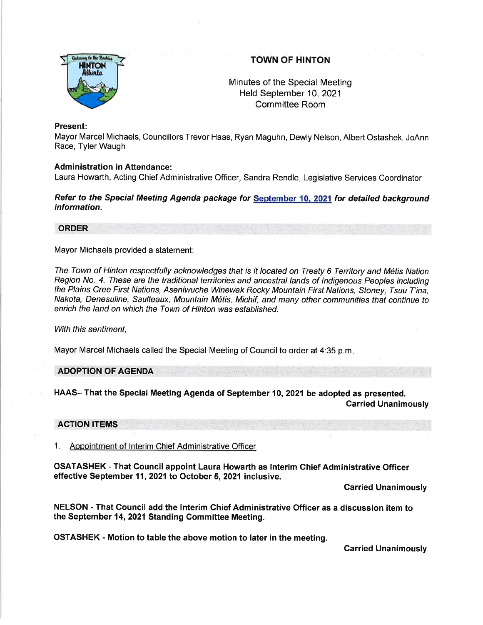

# TOWN OF HINTON

Minutes of the Special Meeting Held September 10,2021 Committee Room

## Present:

Mayor Marcel Michaels, Councillors Trevor Haas, Ryan Maguhn, Dewly Nelson, Albert Ostashek, JoAnn Race, Tyler Waugh

### Administration in Attendance:

Laura Howarth, Acting Chief Administrative Officer, Sandra Rendle, Legislative Services Coordinator

## Refer to the Special Meeting Agenda package for September 10, 2021 for detailed background information.

# ORDER

Mayor Michaels provided a statement:

The Town of Hinton respectfully acknowledges that is it located on Treaty 6 Territory and Métis Nation Region No. 4. These are the traditional territories and ancestral lands of Indigenous Peoples including the Plains Cree First Nations, Aseniwuche Winewak Rocky Mountain First Nations, Sfoney, Tsuu T'ina, Nakota, Denesuline, Saulteaux, Mountain Metis, Michif, and many other communities that continue to enrich the land on which the Town of Hinton was established.

With this sentiment.

Mayor Marcel Michaels called the Special Meeting of Councilto order at 4:35 p.m

ADOPTION OF AGENDA

HAAS- That the Special Meeting Agenda of September 10, 2021 be adopted as presented. Carried Unanimously

#### ACTION ITEMS

1. Appointment of lnterim Chief Administrative Officer

OSATASHEK - That Gouncil appoint Laura Howarth as lnterim Chief Administrative Officer effective September 11, 2021 to October 5, 2021 inclusive.

Carried Unanimously

NELSON - That Council add the lnterim Chief Administrative Officer as a discussion item to the September 14, 2021 Standing Committee Meeting.

OSTASHEK - Motion to table the above motion to later in the meeting.

Carried Unanimously